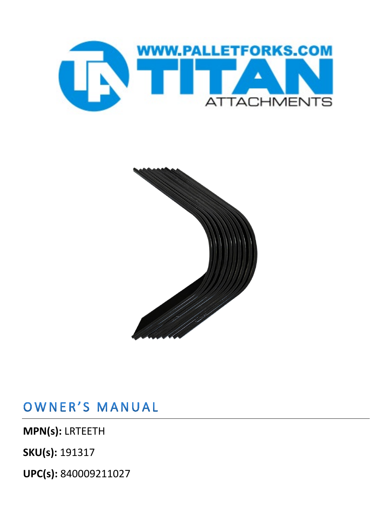



OWNER'S MANUAL

**MPN(s):** LRTEETH

**SKU(s):** 191317

**UPC(s):** 840009211027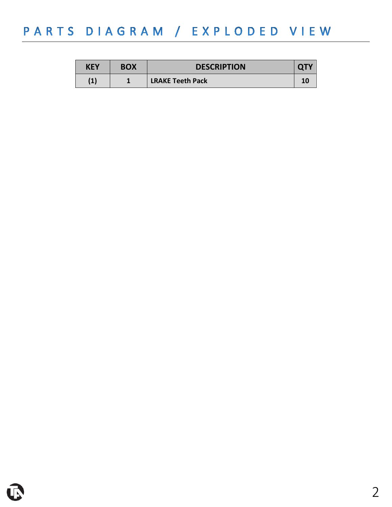## PARTS DIAGRAM / EXPLODED VIEW

| KEY  | <b>BOX</b> | <b>DESCRIPTION</b>      |  |
|------|------------|-------------------------|--|
| 11 I |            | <b>LRAKE Teeth Pack</b> |  |